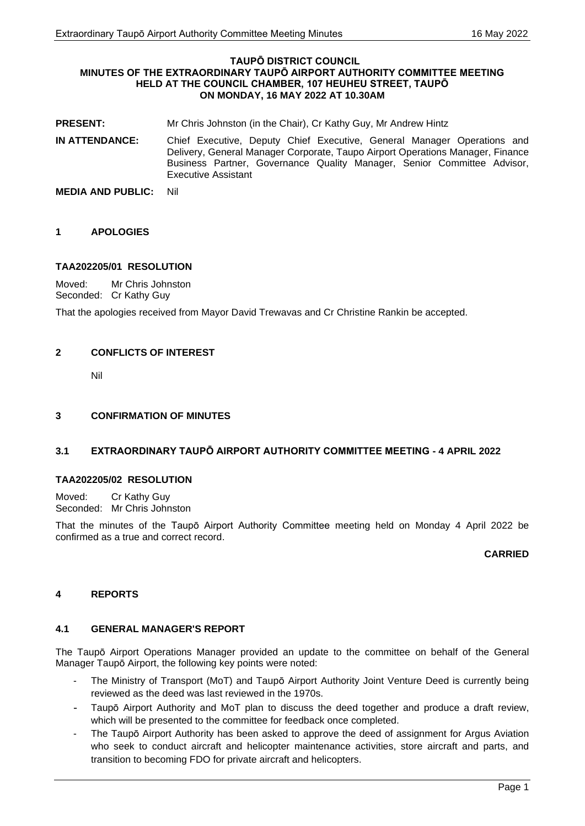#### **TAUPŌ DISTRICT COUNCIL MINUTES OF THE EXTRAORDINARY TAUPŌ AIRPORT AUTHORITY COMMITTEE MEETING HELD AT THE COUNCIL CHAMBER, 107 HEUHEU STREET, TAUPŌ ON MONDAY, 16 MAY 2022 AT 10.30AM**

- **PRESENT:** Mr Chris Johnston (in the Chair), Cr Kathy Guy, Mr Andrew Hintz
- **IN ATTENDANCE:** Chief Executive, Deputy Chief Executive, General Manager Operations and Delivery, General Manager Corporate, Taupo Airport Operations Manager, Finance Business Partner, Governance Quality Manager, Senior Committee Advisor, Executive Assistant
- **MEDIA AND PUBLIC:** Nil

# **1 APOLOGIES**

# **TAA202205/01 RESOLUTION**

Moved: Mr Chris Johnston Seconded: Cr Kathy Guy

That the apologies received from Mayor David Trewavas and Cr Christine Rankin be accepted.

# **2 CONFLICTS OF INTEREST**

Nil

## **3 CONFIRMATION OF MINUTES**

## **3.1 EXTRAORDINARY TAUPŌ AIRPORT AUTHORITY COMMITTEE MEETING - 4 APRIL 2022**

## **TAA202205/02 RESOLUTION**

Moved: Cr Kathy Guy Seconded: Mr Chris Johnston

That the minutes of the Taupō Airport Authority Committee meeting held on Monday 4 April 2022 be confirmed as a true and correct record.

## **CARRIED**

## **4 REPORTS**

## **4.1 GENERAL MANAGER'S REPORT**

The Taupō Airport Operations Manager provided an update to the committee on behalf of the General Manager Taupō Airport, the following key points were noted:

- The Ministry of Transport (MoT) and Taupō Airport Authority Joint Venture Deed is currently being reviewed as the deed was last reviewed in the 1970s.
- Taupō Airport Authority and MoT plan to discuss the deed together and produce a draft review, which will be presented to the committee for feedback once completed.
- The Taupō Airport Authority has been asked to approve the deed of assignment for Argus Aviation who seek to conduct aircraft and helicopter maintenance activities, store aircraft and parts, and transition to becoming FDO for private aircraft and helicopters.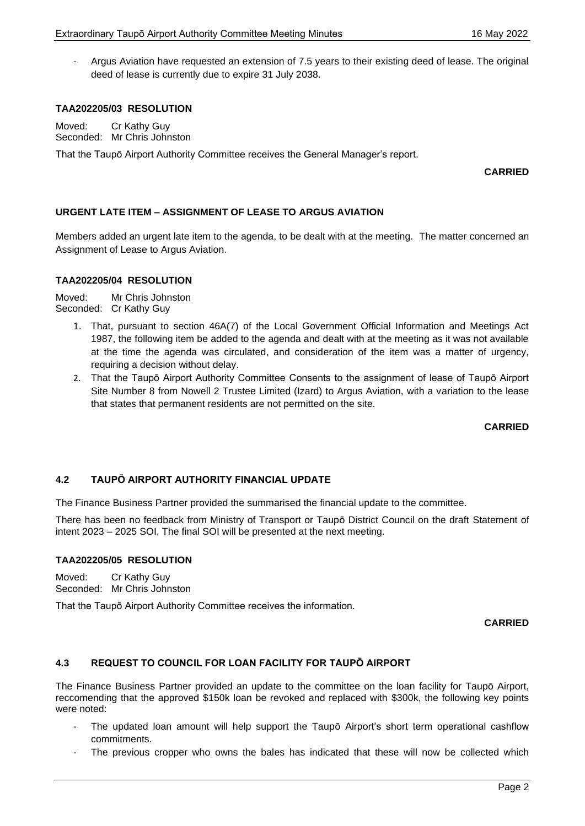- Argus Aviation have requested an extension of 7.5 years to their existing deed of lease. The original deed of lease is currently due to expire 31 July 2038.

## **TAA202205/03 RESOLUTION**

Moved: Cr Kathy Guy Seconded: Mr Chris Johnston

That the Taupō Airport Authority Committee receives the General Manager's report.

**CARRIED**

# **URGENT LATE ITEM – ASSIGNMENT OF LEASE TO ARGUS AVIATION**

Members added an urgent late item to the agenda, to be dealt with at the meeting. The matter concerned an Assignment of Lease to Argus Aviation.

## **TAA202205/04 RESOLUTION**

Moved: Mr Chris Johnston Seconded: Cr Kathy Guy

- 1. That, pursuant to section 46A(7) of the Local Government Official Information and Meetings Act 1987, the following item be added to the agenda and dealt with at the meeting as it was not available at the time the agenda was circulated, and consideration of the item was a matter of urgency, requiring a decision without delay.
- 2. That the Taupō Airport Authority Committee Consents to the assignment of lease of Taupō Airport Site Number 8 from Nowell 2 Trustee Limited (Izard) to Argus Aviation, with a variation to the lease that states that permanent residents are not permitted on the site.

**CARRIED**

## **4.2 TAUPŌ AIRPORT AUTHORITY FINANCIAL UPDATE**

The Finance Business Partner provided the summarised the financial update to the committee.

There has been no feedback from Ministry of Transport or Taupō District Council on the draft Statement of intent 2023 – 2025 SOI. The final SOI will be presented at the next meeting.

## **TAA202205/05 RESOLUTION**

Moved: Cr Kathy Guy Seconded: Mr Chris Johnston

That the Taupō Airport Authority Committee receives the information.

**CARRIED**

## **4.3 REQUEST TO COUNCIL FOR LOAN FACILITY FOR TAUPŌ AIRPORT**

The Finance Business Partner provided an update to the committee on the loan facility for Taupō Airport, reccomending that the approved \$150k loan be revoked and replaced with \$300k, the following key points were noted:

- The updated loan amount will help support the Taupō Airport's short term operational cashflow commitments.
- The previous cropper who owns the bales has indicated that these will now be collected which